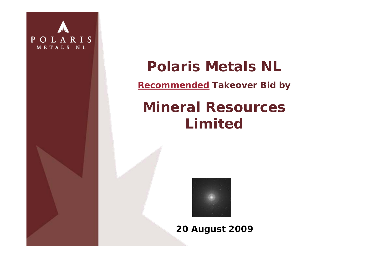

## **Polaris Metals NL**

**Recommended Takeover Bid by** 

# **Mineral Resources Limited**



**20 August 2009**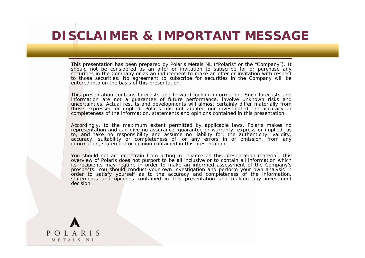## **DISCLAIMER & IMPORTANT MESSAGE**

This presentation has been prepared by Polaris Metals NL ("Polaris" or the "Company"). It should not be considered as an offer or invitation to subscribe for or purchase any securities in the Company or as an inducement to make an offer or invitation with respect to those securities. No agreement to subscribe for securities in the Company will be entered into on the basis of this presentation.

This presentation contains forecasts and forward looking information. Such forecasts and information are not a guarantee of future performance, involve unknown risks and uncertainties. Actual results and developments will almost certainly differ materially from those expressed or implied. Polaris has not audited nor investigated the accuracy or completeness of the information, statements and opinions contained in this presentation.

Accordingly, to the maximum extent permitted by applicable laws, Polaris makes no representation and can give no assurance, guarantee or warranty, express or implied, as to, and take no responsibility and assume no liability for, the authenticity, validity, accuracy, suitability or completeness of, or any errors in or omission, from any information, statement or opinion contained in this presentation.

You should not act or refrain from acting in reliance on this presentation material. This overview of Polaris does not purport to be all inclusive or to contain all information which its recipients may require in order to make an informed assessment of the Company's prospects. You should conduct your own investigation and perform your own analysis in order to satisfy yourself as to the accuracy and completeness of the information, statements and opinions contained in this presentation and making any investment decision.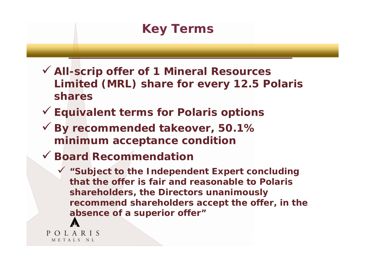## **Key Terms**

- 9 **All-scrip offer of 1 Mineral Resources Limited (MRL) share for every 12.5 Polaris shares**
- 9 **Equivalent terms for Polaris options**
- 9 **By recommended takeover, 50.1% minimum acceptance condition**
- 9 **Board Recommendation**
	- 9 **"Subject to the Independent Expert concluding that the offer is fair and reasonable to Polaris shareholders, the Directors unanimously recommend shareholders accept the offer, in the absence of a superior offer"**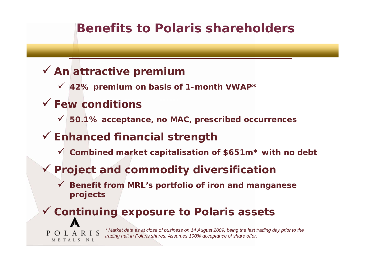## **Benefits to Polaris shareholders**

#### 9 **An attractive premium**

9 **42% premium on basis of 1-month VWAP\***

#### 9 **Few conditions**

POLARIS METALS NL

9 **50.1% acceptance, no MAC, prescribed occurrences**

#### 9 **Enhanced financial strength**

9 **Combined market capitalisation of \$651m\* with no debt**

#### 9 **Project and commodity diversification**

9 **Benefit from MRL's portfolio of iron** *and* **manganese projects**

#### 9 **Continuing exposure to Polaris assets**

*\* Market data as at close of business on 14 August 2009, being the last trading day prior to the trading halt in Polaris shares. Assumes 100% acceptance of share offer.*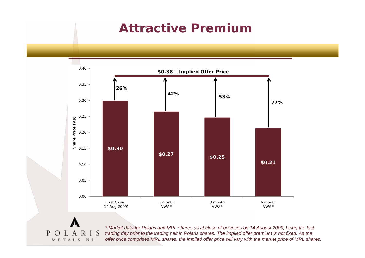#### **Attractive Premium**



P  $\Omega$  $L A$ S METALS NL

*\* Market data for Polaris and MRL shares as at close of business on 14 August 2009, being the last trading day prior to the trading halt in Polaris shares. The implied offer premium is not fixed. As the offer price comprises MRL shares, the implied offer price will vary with the market price of MRL shares.*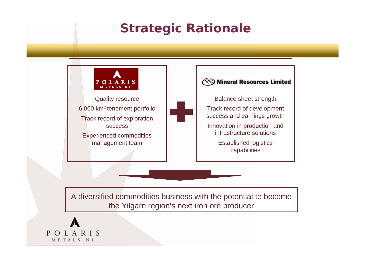## **Strategic Rationale**



A diversified commodities business with the potential to become the Yilgarn region's next iron ore producer

P L A R I S  $\Omega$ METALS NL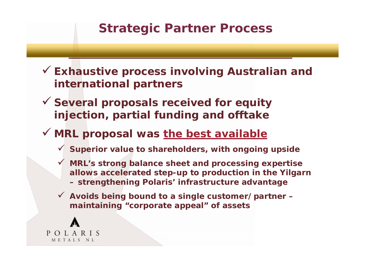#### **Strategic Partner Process**

9 **Exhaustive process involving Australian and international partners**

9 **Several proposals received for equity injection, partial funding and offtake**

#### 9 **MRL proposal was the best available**

- 9 **Superior value to shareholders, with ongoing upside**
- $\checkmark$  **MRL's strong balance sheet and processing expertise allows accelerated step-up to production in the Yilgarn – strengthening Polaris' infrastructure advantage**
- 9 **Avoids being bound to a single customer/partner – maintaining "corporate appeal" of assets**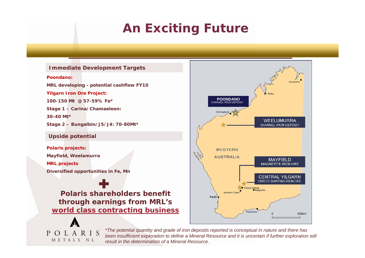## **An Exciting Future**

#### **Immediate Development Targets Poondano:MRL developing - potential cashflow FY10 Yilgarn Iron Ore Project: 100-150 Mt @ 57-59% Fe\*Stage 1 – Carina/Cha maeleon: 30-40 Mt\*Stage 2 – Bungalbin/J5/J4: 70-80Mt\* Upside p otential Polaris projects: Mayfield, Weelamurra MRL projects Diversified opportunities in Fe, Mn Polaris shareholders benefit through earnings from MRL's world class contracting business**

OLARIS

METALS NL

P.



*\*The potential quantity and grade of iron deposits reported is conceptual in nature and there has been insufficient exploration to define a Mineral Resource and it is uncertain if further exploration will result in the determination of a Mineral Resource.*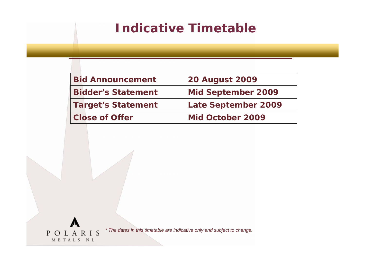### **Indicative Timetable**

| <b>Bid Announcement</b>   | <b>20 August 2009</b>      |
|---------------------------|----------------------------|
| <b>Bidder's Statement</b> | <b>Mid September 2009</b>  |
| <b>Target's Statement</b> | <b>Late September 2009</b> |
| <b>Close of Offer</b>     | Mid October 2009           |

*\* The dates in this timetable are indicative only and subject to change.*